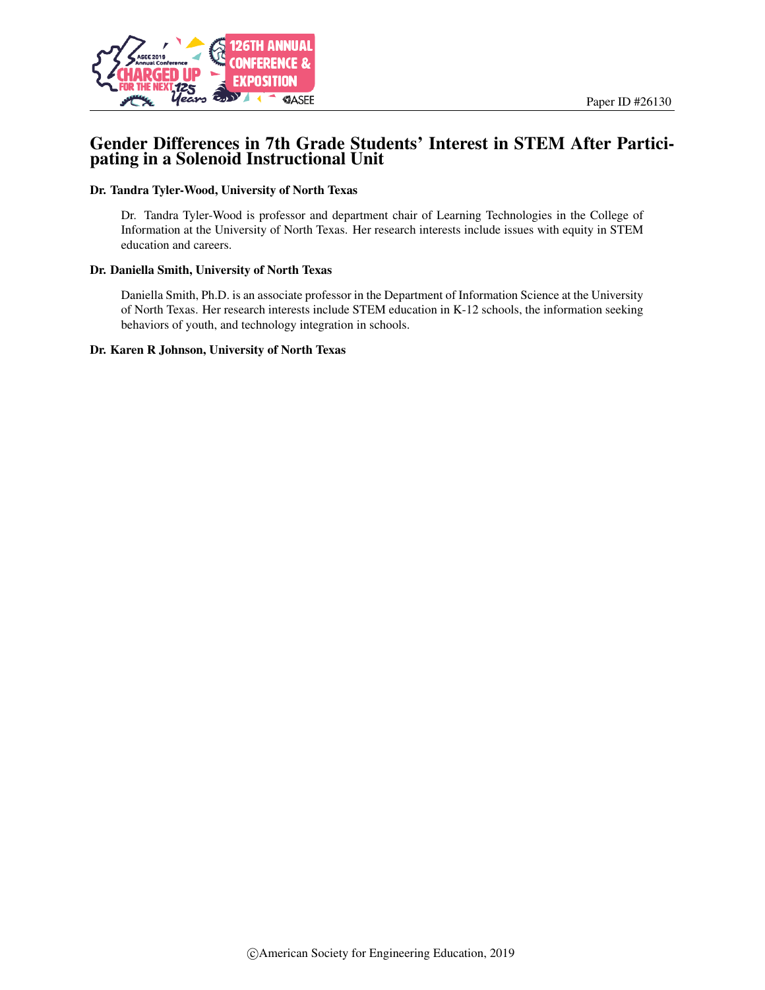

## Gender Differences in 7th Grade Students' Interest in STEM After Participating in a Solenoid Instructional Unit

#### Dr. Tandra Tyler-Wood, University of North Texas

Dr. Tandra Tyler-Wood is professor and department chair of Learning Technologies in the College of Information at the University of North Texas. Her research interests include issues with equity in STEM education and careers.

#### Dr. Daniella Smith, University of North Texas

Daniella Smith, Ph.D. is an associate professor in the Department of Information Science at the University of North Texas. Her research interests include STEM education in K-12 schools, the information seeking behaviors of youth, and technology integration in schools.

#### Dr. Karen R Johnson, University of North Texas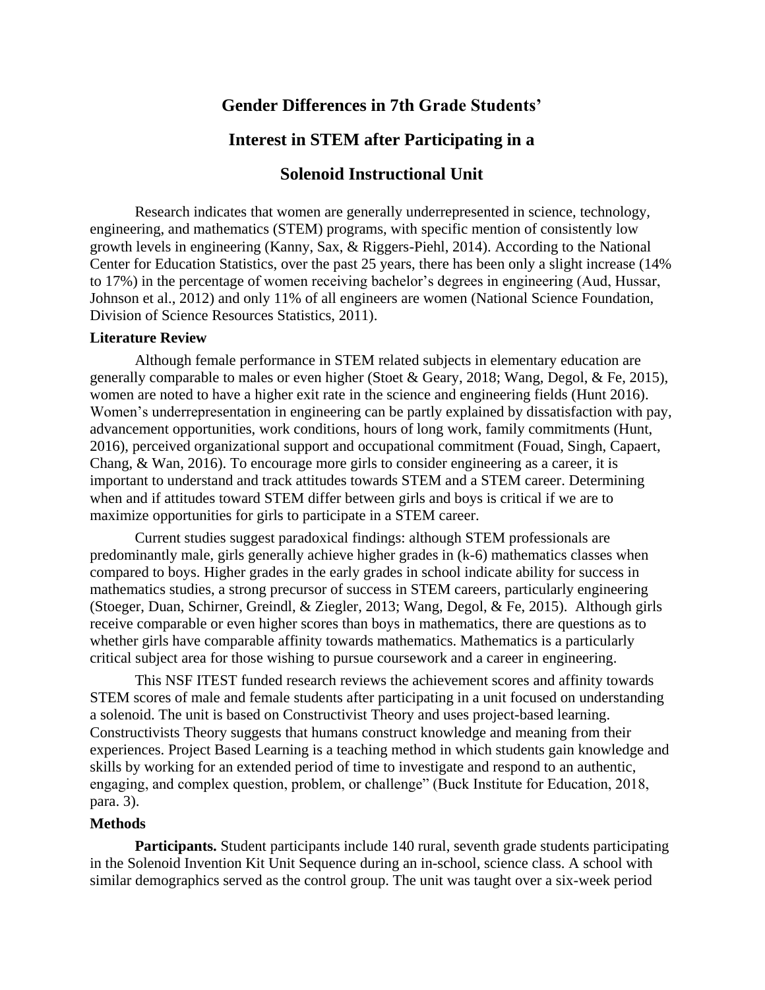# **Gender Differences in 7th Grade Students'**

# **Interest in STEM after Participating in a**

# **Solenoid Instructional Unit**

Research indicates that women are generally underrepresented in science, technology, engineering, and mathematics (STEM) programs, with specific mention of consistently low growth levels in engineering (Kanny, Sax, & Riggers-Piehl, 2014). According to the National Center for Education Statistics, over the past 25 years, there has been only a slight increase (14% to 17%) in the percentage of women receiving bachelor's degrees in engineering (Aud, Hussar, Johnson et al., 2012) and only 11% of all engineers are women (National Science Foundation, Division of Science Resources Statistics, 2011).

### **Literature Review**

Although female performance in STEM related subjects in elementary education are generally comparable to males or even higher (Stoet & Geary, 2018; Wang, Degol, & Fe, 2015), women are noted to have a higher exit rate in the science and engineering fields (Hunt 2016). Women's underrepresentation in engineering can be partly explained by dissatisfaction with pay, advancement opportunities, work conditions, hours of long work, family commitments (Hunt, 2016), perceived organizational support and occupational commitment (Fouad, Singh, Capaert, Chang, & Wan, 2016). To encourage more girls to consider engineering as a career, it is important to understand and track attitudes towards STEM and a STEM career. Determining when and if attitudes toward STEM differ between girls and boys is critical if we are to maximize opportunities for girls to participate in a STEM career.

Current studies suggest paradoxical findings: although STEM professionals are predominantly male, girls generally achieve higher grades in (k-6) mathematics classes when compared to boys. Higher grades in the early grades in school indicate ability for success in mathematics studies, a strong precursor of success in STEM careers, particularly engineering (Stoeger, Duan, Schirner, Greindl, & Ziegler, 2013; Wang, Degol, & Fe, 2015). Although girls receive comparable or even higher scores than boys in mathematics, there are questions as to whether girls have comparable affinity towards mathematics. Mathematics is a particularly critical subject area for those wishing to pursue coursework and a career in engineering.

This NSF ITEST funded research reviews the achievement scores and affinity towards STEM scores of male and female students after participating in a unit focused on understanding a solenoid. The unit is based on Constructivist Theory and uses project-based learning. Constructivists Theory suggests that humans construct knowledge and meaning from their experiences. Project Based Learning is a teaching method in which students gain knowledge and skills by working for an extended period of time to investigate and respond to an authentic, engaging, and complex question, problem, or challenge" (Buck Institute for Education, 2018, para. 3).

### **Methods**

**Participants.** Student participants include 140 rural, seventh grade students participating in the Solenoid Invention Kit Unit Sequence during an in-school, science class. A school with similar demographics served as the control group. The unit was taught over a six-week period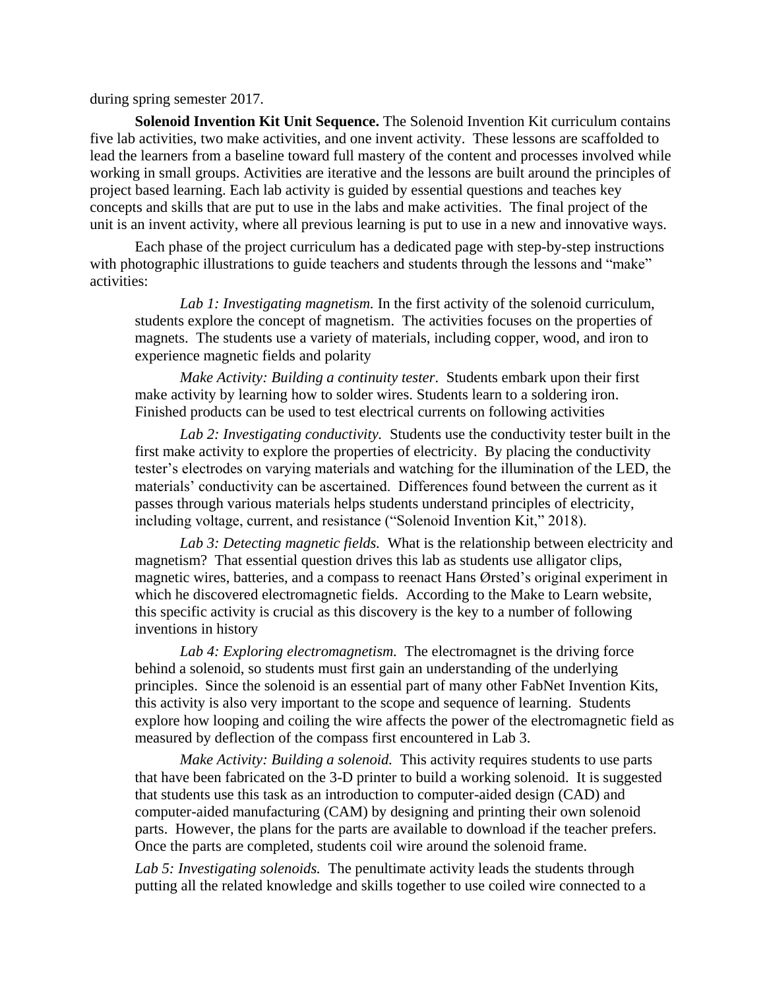during spring semester 2017.

**Solenoid Invention Kit Unit Sequence.** The Solenoid Invention Kit curriculum contains five lab activities, two make activities, and one invent activity. These lessons are scaffolded to lead the learners from a baseline toward full mastery of the content and processes involved while working in small groups. Activities are iterative and the lessons are built around the principles of project based learning. Each lab activity is guided by essential questions and teaches key concepts and skills that are put to use in the labs and make activities. The final project of the unit is an invent activity, where all previous learning is put to use in a new and innovative ways.

Each phase of the project curriculum has a dedicated page with step-by-step instructions with photographic illustrations to guide teachers and students through the lessons and "make" activities:

*Lab 1: Investigating magnetism.* In the first activity of the solenoid curriculum, students explore the concept of magnetism. The activities focuses on the properties of magnets. The students use a variety of materials, including copper, wood, and iron to experience magnetic fields and polarity

*Make Activity: Building a continuity tester*. Students embark upon their first make activity by learning how to solder wires. Students learn to a soldering iron. Finished products can be used to test electrical currents on following activities

*Lab 2: Investigating conductivity.* Students use the conductivity tester built in the first make activity to explore the properties of electricity. By placing the conductivity tester's electrodes on varying materials and watching for the illumination of the LED, the materials' conductivity can be ascertained. Differences found between the current as it passes through various materials helps students understand principles of electricity, including voltage, current, and resistance ("Solenoid Invention Kit," 2018).

*Lab 3: Detecting magnetic fields.* What is the relationship between electricity and magnetism? That essential question drives this lab as students use alligator clips, magnetic wires, batteries, and a compass to reenact Hans Ørsted's original experiment in which he discovered electromagnetic fields. According to the Make to Learn website, this specific activity is crucial as this discovery is the key to a number of following inventions in history

*Lab 4: Exploring electromagnetism.* The electromagnet is the driving force behind a solenoid, so students must first gain an understanding of the underlying principles. Since the solenoid is an essential part of many other FabNet Invention Kits, this activity is also very important to the scope and sequence of learning. Students explore how looping and coiling the wire affects the power of the electromagnetic field as measured by deflection of the compass first encountered in Lab 3.

*Make Activity: Building a solenoid.* This activity requires students to use parts that have been fabricated on the 3-D printer to build a working solenoid. It is suggested that students use this task as an introduction to computer-aided design (CAD) and computer-aided manufacturing (CAM) by designing and printing their own solenoid parts. However, the plans for the parts are available to download if the teacher prefers. Once the parts are completed, students coil wire around the solenoid frame.

*Lab 5: Investigating solenoids.* The penultimate activity leads the students through putting all the related knowledge and skills together to use coiled wire connected to a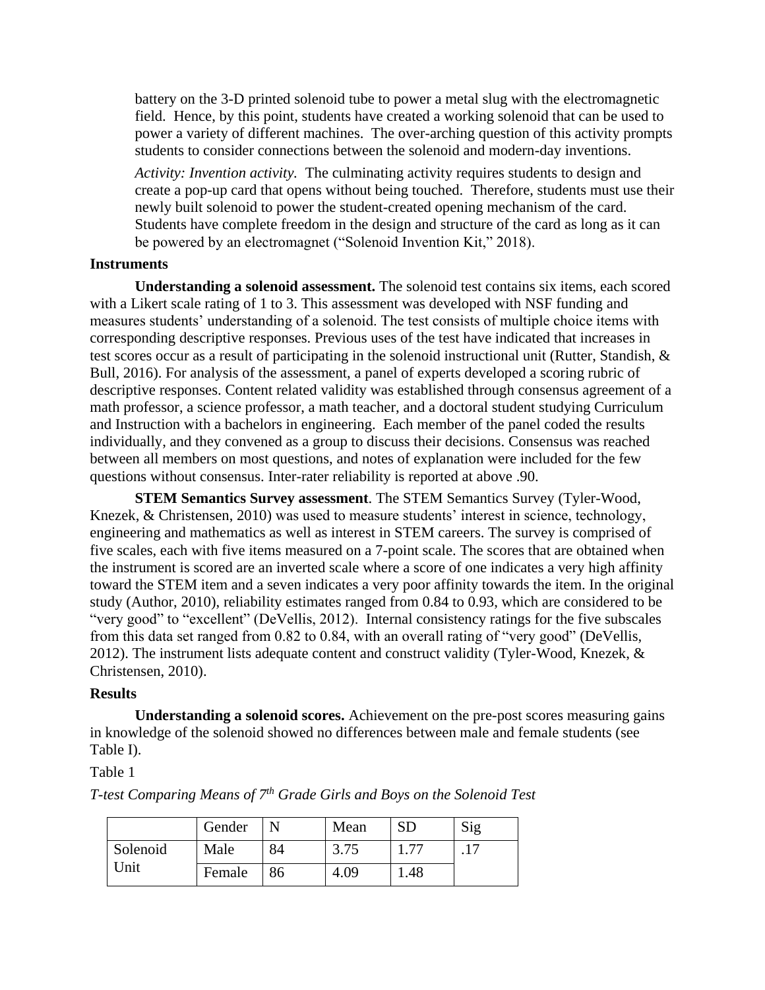battery on the 3-D printed solenoid tube to power a metal slug with the electromagnetic field. Hence, by this point, students have created a working solenoid that can be used to power a variety of different machines. The over-arching question of this activity prompts students to consider connections between the solenoid and modern-day inventions.

*Activity: Invention activity.* The culminating activity requires students to design and create a pop-up card that opens without being touched. Therefore, students must use their newly built solenoid to power the student-created opening mechanism of the card. Students have complete freedom in the design and structure of the card as long as it can be powered by an electromagnet ("Solenoid Invention Kit," 2018).

### **Instruments**

**Understanding a solenoid assessment.** The solenoid test contains six items, each scored with a Likert scale rating of 1 to 3. This assessment was developed with NSF funding and measures students' understanding of a solenoid. The test consists of multiple choice items with corresponding descriptive responses. Previous uses of the test have indicated that increases in test scores occur as a result of participating in the solenoid instructional unit (Rutter, Standish, & Bull, 2016). For analysis of the assessment, a panel of experts developed a scoring rubric of descriptive responses. Content related validity was established through consensus agreement of a math professor, a science professor, a math teacher, and a doctoral student studying Curriculum and Instruction with a bachelors in engineering. Each member of the panel coded the results individually, and they convened as a group to discuss their decisions. Consensus was reached between all members on most questions, and notes of explanation were included for the few questions without consensus. Inter-rater reliability is reported at above .90.

**STEM Semantics Survey assessment**. The STEM Semantics Survey (Tyler-Wood, Knezek, & Christensen, 2010) was used to measure students' interest in science, technology, engineering and mathematics as well as interest in STEM careers. The survey is comprised of five scales, each with five items measured on a 7-point scale. The scores that are obtained when the instrument is scored are an inverted scale where a score of one indicates a very high affinity toward the STEM item and a seven indicates a very poor affinity towards the item. In the original study (Author, 2010), reliability estimates ranged from 0.84 to 0.93, which are considered to be "very good" to "excellent" (DeVellis, 2012). Internal consistency ratings for the five subscales from this data set ranged from 0.82 to 0.84, with an overall rating of "very good" (DeVellis, 2012). The instrument lists adequate content and construct validity (Tyler-Wood, Knezek, & Christensen, 2010).

#### **Results**

**Understanding a solenoid scores.** Achievement on the pre-post scores measuring gains in knowledge of the solenoid showed no differences between male and female students (see Table I).

### Table 1

|                  | Gender |    | Mean | <b>SD</b> | Sig       |
|------------------|--------|----|------|-----------|-----------|
| Solenoid<br>Unit | Male   | 84 | 3.75 | 77        | $\cdot$ 1 |
|                  | Female | 86 | 4.09 | 1.48      |           |

*T-test Comparing Means of 7th Grade Girls and Boys on the Solenoid Test*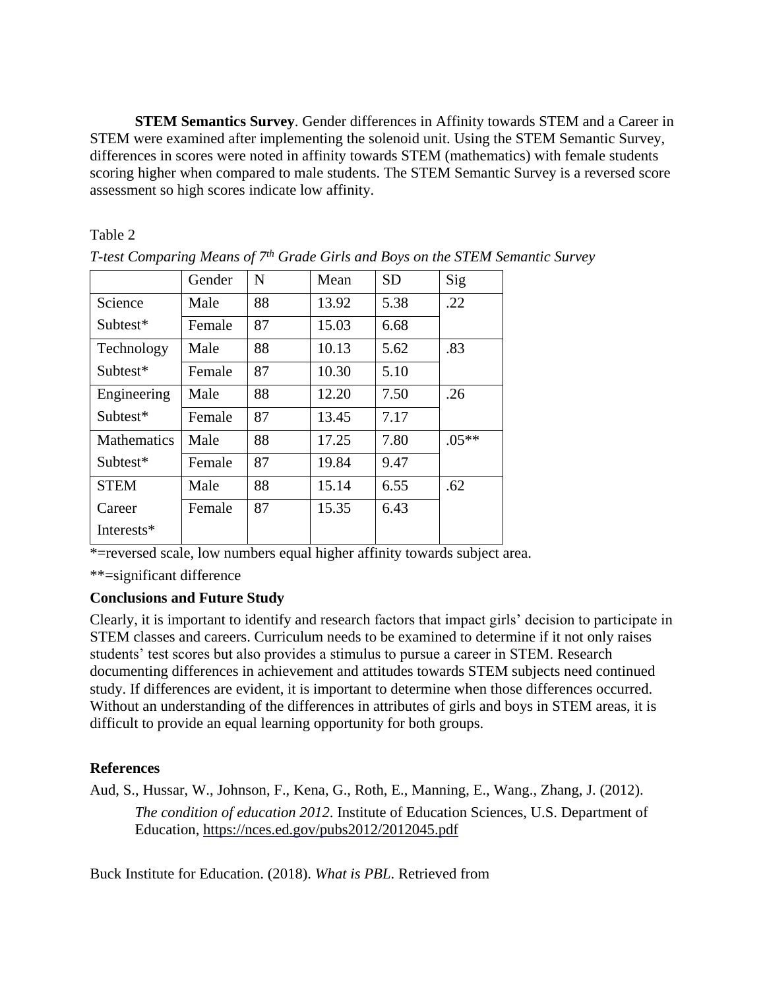**STEM Semantics Survey**. Gender differences in Affinity towards STEM and a Career in STEM were examined after implementing the solenoid unit. Using the STEM Semantic Survey, differences in scores were noted in affinity towards STEM (mathematics) with female students scoring higher when compared to male students. The STEM Semantic Survey is a reversed score assessment so high scores indicate low affinity.

## Table 2

|                    | Gender | N  | Mean  | <b>SD</b> | Sig     |
|--------------------|--------|----|-------|-----------|---------|
| Science            | Male   | 88 | 13.92 | 5.38      | .22     |
| Subtest*           | Female | 87 | 15.03 | 6.68      |         |
| Technology         | Male   | 88 | 10.13 | 5.62      | .83     |
| Subtest*           | Female | 87 | 10.30 | 5.10      |         |
| Engineering        | Male   | 88 | 12.20 | 7.50      | .26     |
| Subtest*           | Female | 87 | 13.45 | 7.17      |         |
| <b>Mathematics</b> | Male   | 88 | 17.25 | 7.80      | $.05**$ |
| Subtest*           | Female | 87 | 19.84 | 9.47      |         |
| <b>STEM</b>        | Male   | 88 | 15.14 | 6.55      | .62     |
| Career             | Female | 87 | 15.35 | 6.43      |         |
| Interests*         |        |    |       |           |         |

*T-test Comparing Means of 7th Grade Girls and Boys on the STEM Semantic Survey*

\*=reversed scale, low numbers equal higher affinity towards subject area.

\*\*=significant difference

## **Conclusions and Future Study**

Clearly, it is important to identify and research factors that impact girls' decision to participate in STEM classes and careers. Curriculum needs to be examined to determine if it not only raises students' test scores but also provides a stimulus to pursue a career in STEM. Research documenting differences in achievement and attitudes towards STEM subjects need continued study. If differences are evident, it is important to determine when those differences occurred. Without an understanding of the differences in attributes of girls and boys in STEM areas, it is difficult to provide an equal learning opportunity for both groups.

## **References**

Aud, S., Hussar, W., Johnson, F., Kena, G., Roth, E., Manning, E., Wang., Zhang, J. (2012). *The condition of education 2012*. Institute of Education Sciences, U.S. Department of Education,<https://nces.ed.gov/pubs2012/2012045.pdf>

Buck Institute for Education. (2018). *What is PBL*. Retrieved from